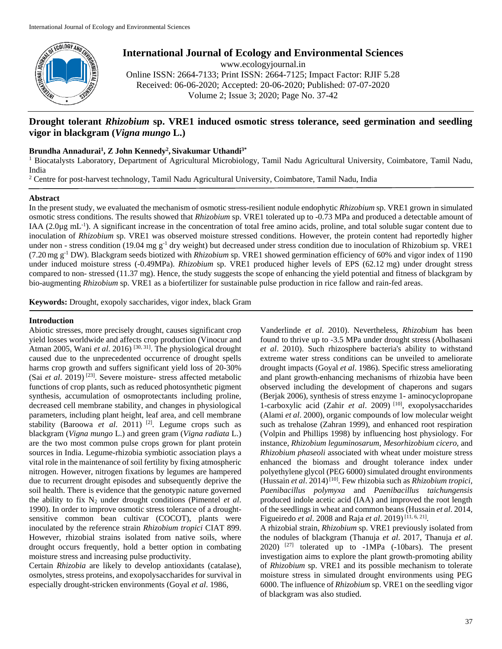

# **International Journal of Ecology and Environmental Sciences**

www.ecologyjournal.in Online ISSN: 2664-7133; Print ISSN: 2664-7125; Impact Factor: RJIF 5.28 Received: 06-06-2020; Accepted: 20-06-2020; Published: 07-07-2020

Volume 2; Issue 3; 2020; Page No. 37-42

# **Drought tolerant** *Rhizobium* **sp. VRE1 induced osmotic stress tolerance, seed germination and seedling vigor in blackgram (***Vigna mungo* **L.)**

# **Brundha Annadurai<sup>1</sup> , Z John Kennedy<sup>2</sup> , Sivakumar Uthandi3\***

<sup>1</sup> Biocatalysts Laboratory, Department of Agricultural Microbiology, Tamil Nadu Agricultural University, Coimbatore, Tamil Nadu, India

<sup>2</sup> Centre for post-harvest technology, Tamil Nadu Agricultural University, Coimbatore, Tamil Nadu, India

# **Abstract**

In the present study, we evaluated the mechanism of osmotic stress-resilient nodule endophytic *Rhizobium* sp. VRE1 grown in simulated osmotic stress conditions. The results showed that *Rhizobium* sp. VRE1 tolerated up to -0.73 MPa and produced a detectable amount of IAA (2.0µg mL<sup>-1</sup>). A significant increase in the concentration of total free amino acids, proline, and total soluble sugar content due to inoculation of *Rhizobium* sp. VRE1 was observed moisture stressed conditions. However, the protein content had reportedly higher under non - stress condition (19.04 mg  $g^{-1}$  dry weight) but decreased under stress condition due to inoculation of Rhizobium sp. VRE1 (7.20 mg g-1 DW). Blackgram seeds biotized with *Rhizobium* sp. VRE1 showed germination efficiency of 60% and vigor index of 1190 under induced moisture stress (-0.49MPa). *Rhizobium* sp. VRE1 produced higher levels of EPS (62.12 mg) under drought stress compared to non- stressed (11.37 mg). Hence, the study suggests the scope of enhancing the yield potential and fitness of blackgram by bio-augmenting *Rhizobium* sp. VRE1 as a biofertilizer for sustainable pulse production in rice fallow and rain-fed areas.

**Keywords:** Drought, exopoly saccharides, vigor index, black Gram

# **Introduction**

Abiotic stresses, more precisely drought, causes significant crop yield losses worldwide and affects crop production (Vinocur and Atman 2005, Wani *et al.* 2016)<sup>[30, 31]</sup>. The physiological drought caused due to the unprecedented occurrence of drought spells harms crop growth and suffers significant yield loss of 20-30% (Sai *et al*. 2019) [23]. Severe moisture- stress affected metabolic functions of crop plants, such as reduced photosynthetic pigment synthesis, accumulation of osmoprotectants including proline, decreased cell membrane stability, and changes in physiological parameters, including plant height, leaf area, and cell membrane stability (Baroowa *et al*. 2011) [2] . Legume crops such as blackgram (*Vigna mungo* L.) and green gram (*Vigna radiata* L.) are the two most common pulse crops grown for plant protein sources in India. Legume-rhizobia symbiotic association plays a vital role in the maintenance of soil fertility by fixing atmospheric nitrogen. However, nitrogen fixations by legumes are hampered due to recurrent drought episodes and subsequently deprive the soil health. There is evidence that the genotypic nature governed the ability to fix  $N_2$  under drought conditions (Pimentel *et al.*) 1990). In order to improve osmotic stress tolerance of a droughtsensitive common bean cultivar (COCOT), plants were inoculated by the reference strain *Rhizobium tropici* CIAT 899. However, rhizobial strains isolated from native soils, where drought occurs frequently, hold a better option in combating moisture stress and increasing pulse productivity.

Certain *Rhizobia* are likely to develop antioxidants (catalase), osmolytes, stress proteins, and exopolysaccharides for survival in especially drought-stricken environments (Goyal *et al*. 1986,

Vanderlinde *et al*. 2010). Nevertheless, *Rhizobium* has been found to thrive up to -3.5 MPa under drought stress (Abolhasani *et al*. 2010). Such rhizosphere bacteria's ability to withstand extreme water stress conditions can be unveiled to ameliorate drought impacts (Goyal *et al*. 1986). Specific stress ameliorating and plant growth-enhancing mechanisms of rhizobia have been observed including the development of chaperons and sugars (Berjak 2006), synthesis of stress enzyme 1- aminocyclopropane 1-carboxylic acid (Zahir *et al*. 2009) [10], exopolysaccharides (Alami *et al*. 2000), organic compounds of low molecular weight such as trehalose (Zahran 1999), and enhanced root respiration (Volpin and Phillips 1998) by influencing host physiology. For instance, *Rhizobium leguminosarum*, *Mesorhizobium cicero,* and *Rhizobium phaseoli* associated with wheat under moisture stress enhanced the biomass and drought tolerance index under polyethylene glycol (PEG 6000) simulated drought environments (Hussain *et al*. 2014)[10]. Few rhizobia such as *Rhizobium tropici, Paenibacillus polymyxa* and *Paenibacillus taichungensis*  produced indole acetic acid (IAA) and improved the root length of the seedlings in wheat and common beans (Hussain *et al*. 2014, Figueiredo *et al.* 2008 and Raja *et al.* 2019)<sup>[11, 6, 21].</sup>

A rhizobial strain, *Rhizobium* sp. VRE1 previously isolated from the nodules of blackgram (Thanuja *et al*. 2017, Thanuja *et al*.  $2020$ )  $^{[27]}$  tolerated up to  $-MPa$  (-10bars). The present investigation aims to explore the plant growth-promoting ability of *Rhizobium* sp. VRE1 and its possible mechanism to tolerate moisture stress in simulated drought environments using PEG 6000. The influence of *Rhizobium* sp. VRE1 on the seedling vigor of blackgram was also studied.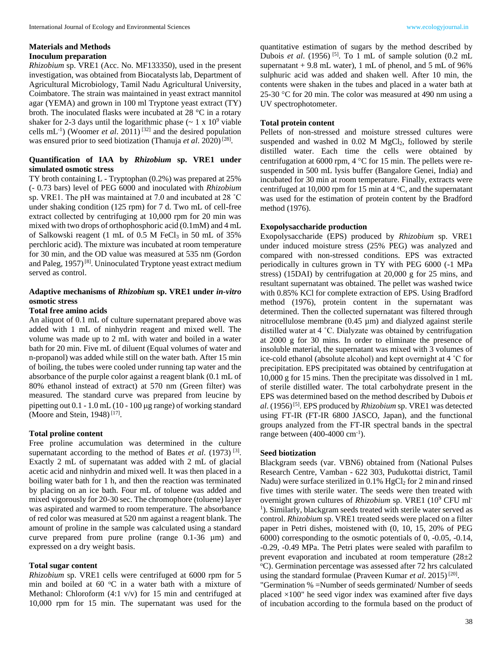# **Materials and Methods Inoculum preparation**

*Rhizobium* sp. VRE1 (Acc. No. MF133350), used in the present investigation, was obtained from Biocatalysts lab, Department of Agricultural Microbiology, Tamil Nadu Agricultural University, Coimbatore. The strain was maintained in yeast extract mannitol agar (YEMA) and grown in 100 ml Tryptone yeast extract (TY) broth. The inoculated flasks were incubated at 28 °C in a rotary shaker for 2-3 days until the logarithmic phase  $({\sim 1 \times 10^9}$  viable cells  $mL^{-1}$ ) (Woomer *et al.* 2011)<sup>[32]</sup> and the desired population was ensured prior to seed biotization (Thanuja et al. 2020)<sup>[28]</sup>.

# **Quantification of IAA by** *Rhizobium* **sp. VRE1 under simulated osmotic stress**

TY broth containing L - Tryptophan (0.2%) was prepared at 25% (- 0.73 bars) level of PEG 6000 and inoculated with *Rhizobium*  sp. VRE1. The pH was maintained at 7.0 and incubated at 28 ˚C under shaking condition (125 rpm) for 7 d. Two mL of cell-free extract collected by centrifuging at 10,000 rpm for 20 min was mixed with two drops of orthophosphoric acid (0.1mM) and 4 mL of Salkowski reagent (1 mL of 0.5 M FeCl<sub>3</sub> in 50 mL of 35%) perchloric acid). The mixture was incubated at room temperature for 30 min, and the OD value was measured at 535 nm (Gordon and Paleg, 1957)<sup>[8]</sup>. Uninoculated Tryptone yeast extract medium served as control.

# **Adaptive mechanisms of** *Rhizobium* **sp. VRE1 under** *in-vitro* **osmotic stress**

# **Total free amino acids**

An aliquot of 0.1 mL of culture supernatant prepared above was added with 1 mL of ninhydrin reagent and mixed well. The volume was made up to 2 mL with water and boiled in a water bath for 20 min. Five mL of diluent (Equal volumes of water and n-propanol) was added while still on the water bath. After 15 min of boiling, the tubes were cooled under running tap water and the absorbance of the purple color against a reagent blank (0.1 mL of 80% ethanol instead of extract) at 570 nm (Green filter) was measured. The standard curve was prepared from leucine by pipetting out  $0.1 - 1.0$  mL (10 - 100 µg range) of working standard (Moore and Stein, 1948)<sup>[17]</sup>.

#### **Total proline content**

Free proline accumulation was determined in the culture supernatant according to the method of Bates *et al.* (1973)<sup>[3]</sup>. Exactly 2 mL of supernatant was added with 2 mL of glacial acetic acid and ninhydrin and mixed well. It was then placed in a boiling water bath for 1 h, and then the reaction was terminated by placing on an ice bath. Four mL of toluene was added and mixed vigorously for 20-30 sec. The chromophore (toluene) layer was aspirated and warmed to room temperature. The absorbance of red color was measured at 520 nm against a reagent blank. The amount of proline in the sample was calculated using a standard curve prepared from pure proline (range 0.1-36 µm) and expressed on a dry weight basis.

#### **Total sugar content**

*Rhizobium* sp. VRE1 cells were centrifuged at 6000 rpm for 5 min and boiled at  $60^{\circ}$ C in a water bath with a mixture of Methanol: Chloroform (4:1 v/v) for 15 min and centrifuged at 10,000 rpm for 15 min. The supernatant was used for the

quantitative estimation of sugars by the method described by Dubois *et al.* (1956)<sup>[5]</sup>. To 1 mL of sample solution  $(0.2 \text{ mL})$ supernatant  $+9.8$  mL water), 1 mL of phenol, and 5 mL of 96% sulphuric acid was added and shaken well. After 10 min, the contents were shaken in the tubes and placed in a water bath at 25-30 °C for 20 min. The color was measured at 490 nm using a UV spectrophotometer.

#### **Total protein content**

Pellets of non-stressed and moisture stressed cultures were suspended and washed in  $0.02$  M MgCl<sub>2</sub>, followed by sterile distilled water. Each time the cells were obtained by centrifugation at 6000 rpm,  $4^{\circ}$ C for 15 min. The pellets were resuspended in 500 mL lysis buffer (Bangalore Genei, India) and incubated for 30 min at room temperature. Finally, extracts were centrifuged at 10,000 rpm for 15 min at 4  $\rm{°C}$ , and the supernatant was used for the estimation of protein content by the Bradford method (1976).

#### **Exopolysaccharide production**

Exopolysaccharide (EPS) produced by *Rhizobium* sp. VRE1 under induced moisture stress (25% PEG) was analyzed and compared with non-stressed conditions. EPS was extracted periodically in cultures grown in TY with PEG 6000 (-1 MPa stress) (15DAI) by centrifugation at 20,000 g for 25 mins, and resultant supernatant was obtained. The pellet was washed twice with 0.85% KCl for complete extraction of EPS. Using Bradford method (1976), protein content in the supernatant was determined. Then the collected supernatant was filtered through nitrocellulose membrane (0.45 µm) and dialyzed against sterile distilled water at 4 ˚C. Dialyzate was obtained by centrifugation at 2000 g for 30 mins. In order to eliminate the presence of insoluble material, the supernatant was mixed with 3 volumes of ice-cold ethanol (absolute alcohol) and kept overnight at 4 ˚C for precipitation. EPS precipitated was obtained by centrifugation at 10,000 g for 15 mins. Then the precipitate was dissolved in 1 mL of sterile distilled water. The total carbohydrate present in the EPS was determined based on the method described by Dubois *et*  al. (1956)<sup>[5]</sup>. EPS produced by *Rhizobium* sp. VRE1 was detected using FT-IR (FT-IR 6800 JASCO, Japan), and the functional groups analyzed from the FT-IR spectral bands in the spectral range between (400-4000 cm<sup>-1</sup>).

#### **Seed biotization**

Blackgram seeds (var. VBN6) obtained from (National Pulses Research Centre, Vamban - 622 303, Pudukottai district, Tamil Nadu) were surface sterilized in  $0.1\%$  HgCl<sub>2</sub> for 2 min and rinsed five times with sterile water. The seeds were then treated with overnight grown cultures of *Rhizobium* sp. VRE1 (10<sup>9</sup> CFU ml<sup>-</sup> <sup>1</sup>). Similarly, blackgram seeds treated with sterile water served as control. *Rhizobium* sp. VRE1 treated seeds were placed on a filter paper in Petri dishes, moistened with (0, 10, 15, 20% of PEG 6000) corresponding to the osmotic potentials of 0, -0.05, -0.14, -0.29, -0.49 MPa. The Petri plates were sealed with parafilm to prevent evaporation and incubated at room temperature (28±2 <sup>o</sup>C). Germination percentage was assessed after 72 hrs calculated using the standard formulae (Praveen Kumar et al. 2015)<sup>[20]</sup>.

"Germination % =Number of seeds germinated/ Number of seeds placed  $\times$ 100" he seed vigor index was examined after five days of incubation according to the formula based on the product of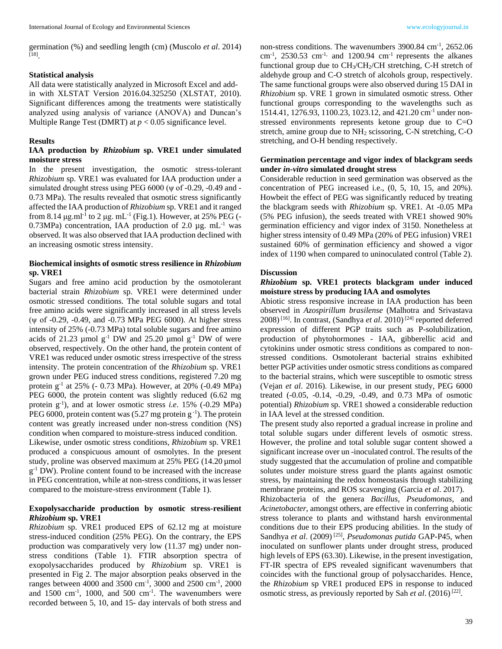germination (%) and seedling length (cm) (Muscolo *et al*. 2014) [18] .

#### **Statistical analysis**

All data were statistically analyzed in Microsoft Excel and addin with XLSTAT Version 2016.04.325250 (XLSTAT, 2010). Significant differences among the treatments were statistically analyzed using analysis of variance (ANOVA) and Duncan's Multiple Range Test (DMRT) at *p* < 0.05 significance level.

### **Results**

# **IAA production by** *Rhizobium* **sp. VRE1 under simulated moisture stress**

In the present investigation, the osmotic stress-tolerant *Rhizobium* sp. VRE1 was evaluated for IAA production under a simulated drought stress using PEG 6000 ( $\psi$  of -0.29, -0.49 and -0.73 MPa). The results revealed that osmotic stress significantly affected the IAA production of *Rhizobium* sp. VRE1 and it ranged from 8.14  $\mu$ g.ml<sup>-1</sup> to 2  $\mu$ g. mL<sup>-1</sup> (Fig.1). However, at 25% PEG (-0.73MPa) concentration, IAA production of 2.0  $\mu$ g. mL<sup>-1</sup> was observed. It was also observed that IAA production declined with an increasing osmotic stress intensity.

# **Biochemical insights of osmotic stress resilience in** *Rhizobium* **sp. VRE1**

Sugars and free amino acid production by the osmotolerant bacterial strain *Rhizobium* sp. VRE1 were determined under osmotic stressed conditions. The total soluble sugars and total free amino acids were significantly increased in all stress levels (ψ of -0.29, -0.49, and -0.73 MPa PEG 6000). At higher stress intensity of 25% (-0.73 MPa) total soluble sugars and free amino acids of 21.23  $\mu$ mol g<sup>-1</sup> DW and 25.20  $\mu$ mol g<sup>-1</sup> DW of were observed, respectively. On the other hand, the protein content of VRE1 was reduced under osmotic stress irrespective of the stress intensity. The protein concentration of the *Rhizobium* sp. VRE1 grown under PEG induced stress conditions, registered 7.20 mg protein  $g^{-1}$  at 25% (- 0.73 MPa). However, at 20% (-0.49 MPa) PEG 6000, the protein content was slightly reduced (6.62 mg protein g-1 ), and at lower osmotic stress *i.e*. 15% (-0.29 MPa) PEG 6000, protein content was  $(5.27 \text{ mg protein g}^{-1})$ . The protein content was greatly increased under non-stress condition (NS) condition when compared to moisture-stress induced condition. Likewise, under osmotic stress conditions, *Rhizobium* sp. VRE1 produced a conspicuous amount of osmolytes. In the present study, proline was observed maximum at 25% PEG (14.20 µmol  $g^{-1}$  DW). Proline content found to be increased with the increase in PEG concentration, while at non-stress conditions, it was lesser compared to the moisture-stress environment (Table 1).

# **Exopolysaccharide production by osmotic stress-resilient**  *Rhizobium* **sp. VRE1**

*Rhizobium* sp. VRE1 produced EPS of 62.12 mg at moisture stress-induced condition (25% PEG). On the contrary, the EPS production was comparatively very low (11.37 mg) under nonstress conditions (Table 1). FTIR absorption spectra of exopolysaccharides produced by *Rhizobium* sp. VRE1 is presented in Fig 2. The major absorption peaks observed in the ranges between 4000 and 3500 cm<sup>-1</sup>, 3000 and 2500 cm<sup>-1</sup>, 2000 and  $1500 \text{ cm}^{-1}$ ,  $1000$ , and  $500 \text{ cm}^{-1}$ . The wavenumbers were recorded between 5, 10, and 15- day intervals of both stress and

non-stress conditions. The wavenumbers 3900.84 cm<sup>-1</sup>, 2652.06 cm<sup>-1</sup>, 2530.53 cm<sup>-1,</sup> and 1200.94 cm<sup>-1</sup> represents the alkanes functional group due to  $CH<sub>3</sub>/CH<sub>2</sub>/CH$  stretching, C-H stretch of aldehyde group and C-O stretch of alcohols group, respectively. The same functional groups were also observed during 15 DAI in *Rhizobium* sp. VRE 1 grown in simulated osmotic stress. Other functional groups corresponding to the wavelengths such as 1514.41, 1276.93, 1100.23, 1023.12, and 421.20 cm-1 under nonstressed environments represents ketone group due to C=O stretch, amine group due to NH<sup>2</sup> scissoring, C-N stretching, C-O stretching, and O-H bending respectively.

# **Germination percentage and vigor index of blackgram seeds under** *in-vitro* **simulated drought stress**

Considerable reduction in seed germination was observed as the concentration of PEG increased i.e., (0, 5, 10, 15, and 20%). Howbeit the effect of PEG was significantly reduced by treating the blackgram seeds with *Rhizobium* sp. VRE1. At -0.05 MPa (5% PEG infusion), the seeds treated with VRE1 showed 90% germination efficiency and vigor index of 3150. Nonetheless at higher stress intensity of 0.49 MPa (20% of PEG infusion) VRE1 sustained 60% of germination efficiency and showed a vigor index of 1190 when compared to uninoculated control (Table 2).

# **Discussion**

# *Rhizobium* **sp. VRE1 protects blackgram under induced moisture stress by producing IAA and osmolytes**

Abiotic stress responsive increase in IAA production has been observed in *Azospirillum brasilense* (Malhotra and Srivastava 2008)<sup>[16]</sup>. In contrast, (Sandhya et al. 2010)<sup>[24]</sup> reported deferred expression of different PGP traits such as P-solubilization, production of phytohormones - IAA, gibberellic acid and cytokinins under osmotic stress conditions as compared to nonstressed conditions. Osmotolerant bacterial strains exhibited better PGP activities under osmotic stress conditions as compared to the bacterial strains, which were susceptible to osmotic stress (Vejan *et al*. 2016). Likewise, in our present study, PEG 6000 treated (-0.05, -0.14, -0.29, -0.49, and 0.73 MPa of osmotic potential) *Rhizobium* sp. VRE1 showed a considerable reduction in IAA level at the stressed condition.

The present study also reported a gradual increase in proline and total soluble sugars under different levels of osmotic stress. However, the proline and total soluble sugar content showed a significant increase over un -inoculated control. The results of the study suggested that the accumulation of proline and compatible solutes under moisture stress guard the plants against osmotic stress, by maintaining the redox homeostasis through stabilizing membrane proteins, and ROS scavenging (Garcia *et al*. 2017).

Rhizobacteria of the genera *Bacillus*, *Pseudomonas*, and *Acinetobacter*, amongst others, are effective in conferring abiotic stress tolerance to plants and withstand harsh environmental conditions due to their EPS producing abilities. In the study of Sandhya et al. (2009)<sup>[25]</sup>, *Pseudomonas putida* GAP-P45, when inoculated on sunflower plants under drought stress, produced high levels of EPS (63.30). Likewise, in the present investigation, FT-IR spectra of EPS revealed significant wavenumbers that coincides with the functional group of polysaccharides. Hence, the *Rhizobium* sp VRE1 produced EPS in response to induced osmotic stress, as previously reported by Sah et al. (2016)<sup>[22]</sup>.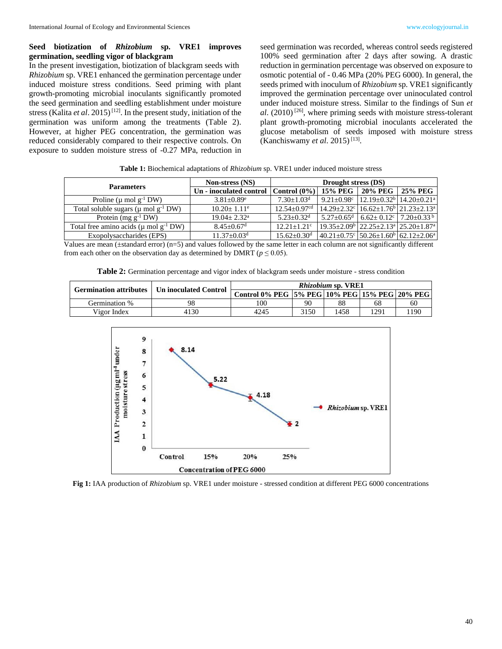# **Seed biotization of** *Rhizobium* **sp. VRE1 improves germination, seedling vigor of blackgram**

In the present investigation, biotization of blackgram seeds with *Rhizobium* sp. VRE1 enhanced the germination percentage under induced moisture stress conditions. Seed priming with plant growth-promoting microbial inoculants significantly promoted the seed germination and seedling establishment under moisture stress (Kalita *et al.* 2015)<sup>[12]</sup>. In the present study, initiation of the germination was uniform among the treatments (Table 2). However, at higher PEG concentration, the germination was reduced considerably compared to their respective controls. On exposure to sudden moisture stress of -0.27 MPa, reduction in

seed germination was recorded, whereas control seeds registered 100% seed germination after 2 days after sowing. A drastic reduction in germination percentage was observed on exposure to osmotic potential of - 0.46 MPa (20% PEG 6000). In general, the seeds primed with inoculum of *Rhizobium* sp. VRE1 significantly improved the germination percentage over uninoculated control under induced moisture stress. Similar to the findings of Sun *et al*. (2010) [26], where priming seeds with moisture stress-tolerant plant growth-promoting microbial inoculants accelerated the glucose metabolism of seeds imposed with moisture stress (Kanchiswamy *et al.* 2015)<sup>[13]</sup>.

**Table 1:** Biochemical adaptations of *Rhizobium* sp. VRE1 under induced moisture stress

|                                                 | Non-stress (NS)                                                 | Drought stress (DS)          |  |                                                                                           |                |  |
|-------------------------------------------------|-----------------------------------------------------------------|------------------------------|--|-------------------------------------------------------------------------------------------|----------------|--|
| <b>Parameters</b>                               | Un - inoculated control $ $ Control $(0\%)$   15% PEG   20% PEG |                              |  |                                                                                           | <b>25% PEG</b> |  |
| Proline ( $\mu$ mol $g^{-1}$ DW)                | $3.81 \pm 0.89$ <sup>e</sup>                                    | $7.30 + 1.03d$               |  | $9.21 \pm 0.98$ c   12.19 $\pm$ 0.32 <sup>b</sup>   14.20 $\pm$ 0.21 <sup>a</sup>         |                |  |
| Total soluble sugars ( $\mu$ mol $g^{-1}$ DW)   | $10.20 + 1.11$ <sup>e</sup>                                     | $12.54 + 0.97$ <sup>cd</sup> |  | $14.29 \pm 2.32$ <sup>c</sup> $16.62 \pm 1.76$ <sup>b</sup> $21.23 \pm 2.13$ <sup>a</sup> |                |  |
| Protein (mg $g^{-1}$ DW)                        | $19.04 + 2.32^{\text{a}}$                                       | $5.23 + 0.32$ <sup>d</sup>   |  | $5.27 \pm 0.65$ <sup>d</sup> 6.62 $\pm 0.12$ <sup>c</sup> 7.20 $\pm 0.33$ <sup>b</sup>    |                |  |
| Total free amino acids ( $\mu$ mol $g^{-1}$ DW) | $8.45 + 0.67$ <sup>d</sup>                                      | $12.21 + 1.21$ °             |  | $19.35 \pm 2.09^{\circ}$ $22.25 \pm 2.13^{\circ}$ $25.20 \pm 1.87^{\circ}$                |                |  |
| Exopolysaccharides (EPS)                        | $11.37 + 0.03d$                                                 | $15.62 + 0.30d$              |  | $40.21 \pm 0.75$ ° 50.26 $\pm 1.60$ <sup>b</sup> 62.12 $\pm 2.06$ <sup>a</sup>            |                |  |

Values are mean (±standard error) (n=5) and values followed by the same letter in each column are not significantly different from each other on the observation day as determined by DMRT ( $p \le 0.05$ ).

**Table 2:** Germination percentage and vigor index of blackgram seeds under moisture - stress condition

| Germination attributes   Un inoculated Control |      | <i>Rhizobium sp. VRE1</i>                     |      |      |      |       |  |
|------------------------------------------------|------|-----------------------------------------------|------|------|------|-------|--|
|                                                |      | Control 0% PEG 5% PEG 10% PEG 15% PEG 20% PEG |      |      |      |       |  |
| Germination %                                  | 98   | 100                                           | 90   | 88   | 68   | 60    |  |
| Vigor Index                                    | 4130 | 4245                                          | 3150 | 1458 | .291 | ' 190 |  |



**Fig 1:** IAA production of *Rhizobium* sp. VRE1 under moisture - stressed condition at different PEG 6000 concentrations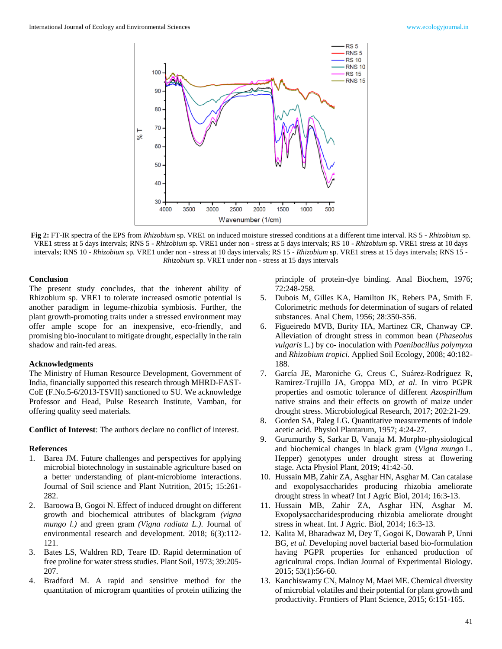

**Fig 2:** FT-IR spectra of the EPS from *Rhizobium* sp. VRE1 on induced moisture stressed conditions at a different time interval. RS 5 - *Rhizobium* sp. VRE1 stress at 5 days intervals; RNS 5 - *Rhizobium* sp. VRE1 under non - stress at 5 days intervals; RS 10 - *Rhizobium* sp. VRE1 stress at 10 days intervals; RNS 10 - *Rhizobium* sp. VRE1 under non - stress at 10 days intervals; RS 15 - *Rhizobium* sp. VRE1 stress at 15 days intervals; RNS 15 - *Rhizobium* sp. VRE1 under non - stress at 15 days intervals

#### **Conclusion**

The present study concludes, that the inherent ability of Rhizobium sp. VRE1 to tolerate increased osmotic potential is another paradigm in legume-rhizobia symbiosis. Further, the plant growth-promoting traits under a stressed environment may offer ample scope for an inexpensive, eco-friendly, and promising bio-inoculant to mitigate drought, especially in the rain shadow and rain-fed areas.

# **Acknowledgments**

The Ministry of Human Resource Development, Government of India, financially supported this research through MHRD-FAST-CoE (F.No.5-6/2013-TSVII) sanctioned to SU. We acknowledge Professor and Head, Pulse Research Institute, Vamban, for offering quality seed materials.

**Conflict of Interest**: The authors declare no conflict of interest.

### **References**

- 1. Barea JM. Future challenges and perspectives for applying microbial biotechnology in sustainable agriculture based on a better understanding of plant-microbiome interactions. Journal of Soil science and Plant Nutrition, 2015; 15:261- 282.
- 2. Baroowa B, Gogoi N. Effect of induced drought on different growth and biochemical attributes of blackgram *(vigna mungo l.)* and green gram *(Vigna radiata L.)*. Journal of environmental research and development. 2018; 6(3):112- 121.
- 3. Bates LS, Waldren RD, Teare ID. Rapid determination of free proline for water stress studies. Plant Soil, 1973; 39:205- 207.
- 4. Bradford M. A rapid and sensitive method for the quantitation of microgram quantities of protein utilizing the

principle of protein-dye binding. Anal Biochem, 1976; 72:248-258.

- 5. Dubois M, Gilles KA, Hamilton JK, Rebers PA, Smith F. Colorimetric methods for determination of sugars of related substances. Anal Chem, 1956; 28:350-356.
- 6. Figueiredo MVB, Burity HA, Martinez CR, Chanway CP. Alleviation of drought stress in common bean (*Phaseolus vulgaris* L.) by co- inoculation with *Paenibacillus polymyxa* and *Rhizobium tropici*. Applied Soil Ecology, 2008; 40:182- 188.
- 7. García JE, Maroniche G, Creus C, Suárez-Rodríguez R, Ramirez-Trujillo JA, Groppa MD, *et al*. In vitro PGPR properties and osmotic tolerance of different *Azospirillum* native strains and their effects on growth of maize under drought stress. Microbiological Research, 2017; 202:21-29.
- 8. Gorden SA, Paleg LG. Quantitative measurements of indole acetic acid. Physiol Plantarum, 1957; 4:24-27.
- 9. Gurumurthy S, Sarkar B, Vanaja M. Morpho-physiological and biochemical changes in black gram (*Vigna mungo* L. Hepper) genotypes under drought stress at flowering stage. Acta Physiol Plant, 2019; 41:42-50.
- 10. Hussain MB, Zahir ZA, Asghar HN, Asghar M. Can catalase and exopolysaccharides producing rhizobia ameliorate drought stress in wheat? Int J Agric Biol, 2014; 16:3-13.
- 11. Hussain MB, Zahir ZA, Asghar HN, Asghar M. Exopolysaccharidesproducing rhizobia ameliorate drought stress in wheat. Int. J Agric. Biol, 2014; 16:3-13.
- 12. Kalita M, Bharadwaz M, Dey T, Gogoi K, Dowarah P, Unni BG, *et al*. Developing novel bacterial based bio-formulation having PGPR properties for enhanced production of agricultural crops. Indian Journal of Experimental Biology. 2015; 53(1):56-60.
- 13. Kanchiswamy CN, Malnoy M, Maei ME. Chemical diversity of microbial volatiles and their potential for plant growth and productivity. Frontiers of Plant Science, 2015; 6:151-165.